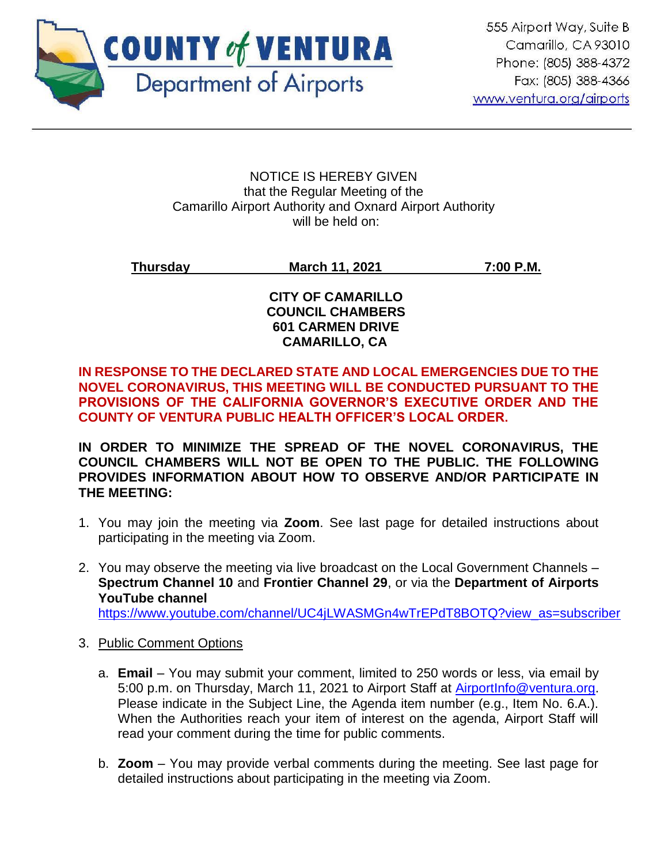

#### NOTICE IS HEREBY GIVEN that the Regular Meeting of the Camarillo Airport Authority and Oxnard Airport Authority will be held on:

# **Thursday March 11, 2021 7:00 P.M.**

## **CITY OF CAMARILLO COUNCIL CHAMBERS 601 CARMEN DRIVE CAMARILLO, CA**

# **IN RESPONSE TO THE DECLARED STATE AND LOCAL EMERGENCIES DUE TO THE NOVEL CORONAVIRUS, THIS MEETING WILL BE CONDUCTED PURSUANT TO THE PROVISIONS OF THE CALIFORNIA GOVERNOR'S EXECUTIVE ORDER AND THE COUNTY OF VENTURA PUBLIC HEALTH OFFICER'S LOCAL ORDER.**

**IN ORDER TO MINIMIZE THE SPREAD OF THE NOVEL CORONAVIRUS, THE COUNCIL CHAMBERS WILL NOT BE OPEN TO THE PUBLIC. THE FOLLOWING PROVIDES INFORMATION ABOUT HOW TO OBSERVE AND/OR PARTICIPATE IN THE MEETING:**

- 1. You may join the meeting via **Zoom**. See last page for detailed instructions about participating in the meeting via Zoom.
- 2. You may observe the meeting via live broadcast on the Local Government Channels **Spectrum Channel 10** and **Frontier Channel 29**, or via the **Department of Airports YouTube channel**

[https://www.youtube.com/channel/UC4jLWASMGn4wTrEPdT8BOTQ?view\\_as=subscriber](https://www.youtube.com/channel/UC4jLWASMGn4wTrEPdT8BOTQ?view_as=subscriber)

- 3. Public Comment Options
	- a. **Email**  You may submit your comment, limited to 250 words or less, via email by 5:00 p.m. on Thursday, March 11, 2021 to Airport Staff at [AirportInfo@ventura.org.](mailto:AirportInfo@ventura.org) Please indicate in the Subject Line, the Agenda item number (e.g., Item No. 6.A.). When the Authorities reach your item of interest on the agenda, Airport Staff will read your comment during the time for public comments.
	- b. **Zoom** You may provide verbal comments during the meeting. See last page for detailed instructions about participating in the meeting via Zoom.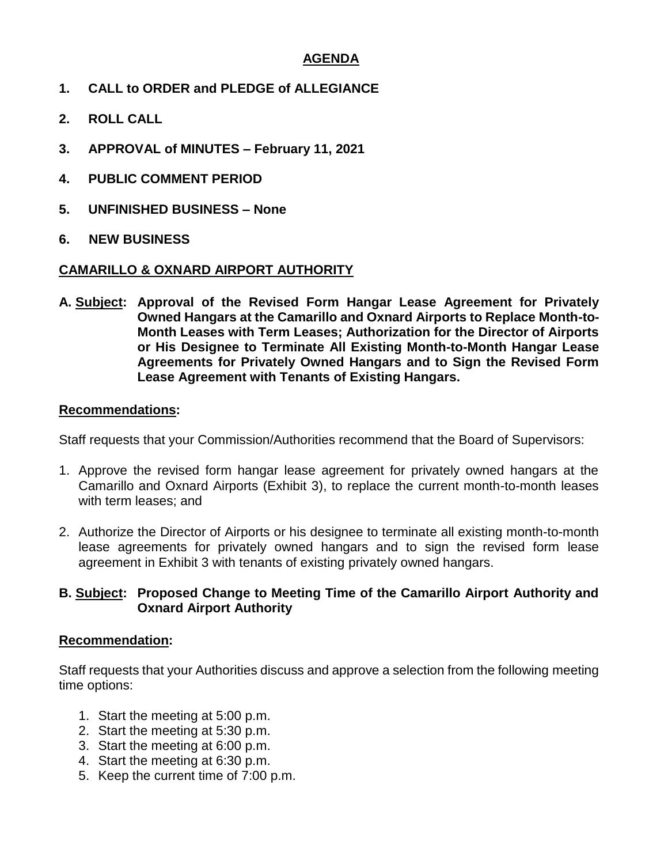# **AGENDA**

- **1. CALL to ORDER and PLEDGE of ALLEGIANCE**
- **2. ROLL CALL**
- **3. APPROVAL of MINUTES – February 11, 2021**
- **4. PUBLIC COMMENT PERIOD**
- **5. UNFINISHED BUSINESS – None**
- **6. NEW BUSINESS**

#### **CAMARILLO & OXNARD AIRPORT AUTHORITY**

**A. Subject: Approval of the Revised Form Hangar Lease Agreement for Privately Owned Hangars at the Camarillo and Oxnard Airports to Replace Month-to-Month Leases with Term Leases; Authorization for the Director of Airports or His Designee to Terminate All Existing Month-to-Month Hangar Lease Agreements for Privately Owned Hangars and to Sign the Revised Form Lease Agreement with Tenants of Existing Hangars.**

#### **Recommendations:**

Staff requests that your Commission/Authorities recommend that the Board of Supervisors:

- 1. Approve the revised form hangar lease agreement for privately owned hangars at the Camarillo and Oxnard Airports (Exhibit 3), to replace the current month-to-month leases with term leases; and
- 2. Authorize the Director of Airports or his designee to terminate all existing month-to-month lease agreements for privately owned hangars and to sign the revised form lease agreement in Exhibit 3 with tenants of existing privately owned hangars.

#### **B. Subject: Proposed Change to Meeting Time of the Camarillo Airport Authority and Oxnard Airport Authority**

#### **Recommendation:**

Staff requests that your Authorities discuss and approve a selection from the following meeting time options:

- 1. Start the meeting at 5:00 p.m.
- 2. Start the meeting at 5:30 p.m.
- 3. Start the meeting at 6:00 p.m.
- 4. Start the meeting at 6:30 p.m.
- 5. Keep the current time of 7:00 p.m.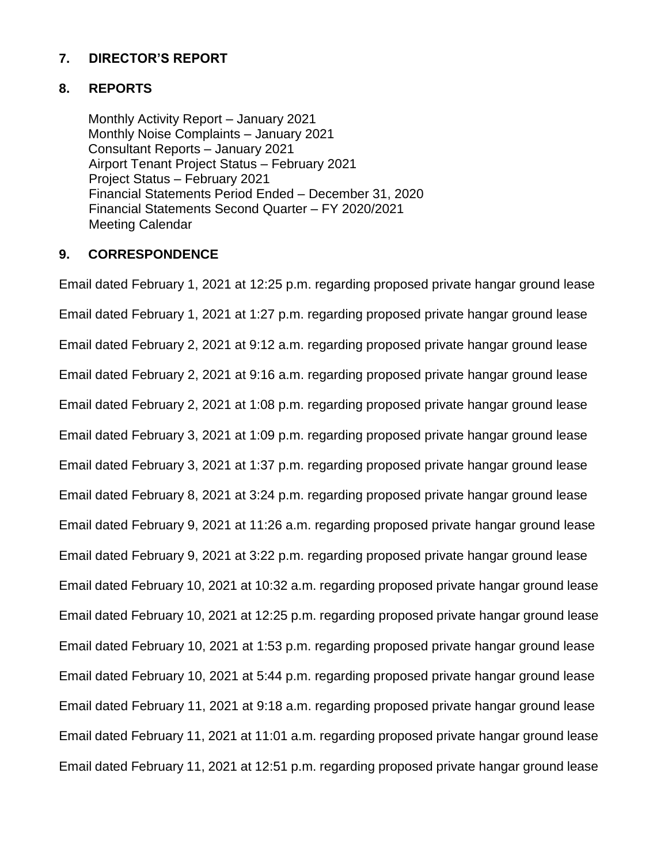# **7. DIRECTOR'S REPORT**

#### **8. REPORTS**

Monthly Activity Report – January 2021 Monthly Noise Complaints – January 2021 Consultant Reports – January 2021 Airport Tenant Project Status – February 2021 Project Status – February 2021 Financial Statements Period Ended – December 31, 2020 Financial Statements Second Quarter – FY 2020/2021 Meeting Calendar

#### **9. CORRESPONDENCE**

Email dated February 1, 2021 at 12:25 p.m. regarding proposed private hangar ground lease Email dated February 1, 2021 at 1:27 p.m. regarding proposed private hangar ground lease Email dated February 2, 2021 at 9:12 a.m. regarding proposed private hangar ground lease Email dated February 2, 2021 at 9:16 a.m. regarding proposed private hangar ground lease Email dated February 2, 2021 at 1:08 p.m. regarding proposed private hangar ground lease Email dated February 3, 2021 at 1:09 p.m. regarding proposed private hangar ground lease Email dated February 3, 2021 at 1:37 p.m. regarding proposed private hangar ground lease Email dated February 8, 2021 at 3:24 p.m. regarding proposed private hangar ground lease Email dated February 9, 2021 at 11:26 a.m. regarding proposed private hangar ground lease Email dated February 9, 2021 at 3:22 p.m. regarding proposed private hangar ground lease Email dated February 10, 2021 at 10:32 a.m. regarding proposed private hangar ground lease Email dated February 10, 2021 at 12:25 p.m. regarding proposed private hangar ground lease Email dated February 10, 2021 at 1:53 p.m. regarding proposed private hangar ground lease Email dated February 10, 2021 at 5:44 p.m. regarding proposed private hangar ground lease Email dated February 11, 2021 at 9:18 a.m. regarding proposed private hangar ground lease Email dated February 11, 2021 at 11:01 a.m. regarding proposed private hangar ground lease Email dated February 11, 2021 at 12:51 p.m. regarding proposed private hangar ground lease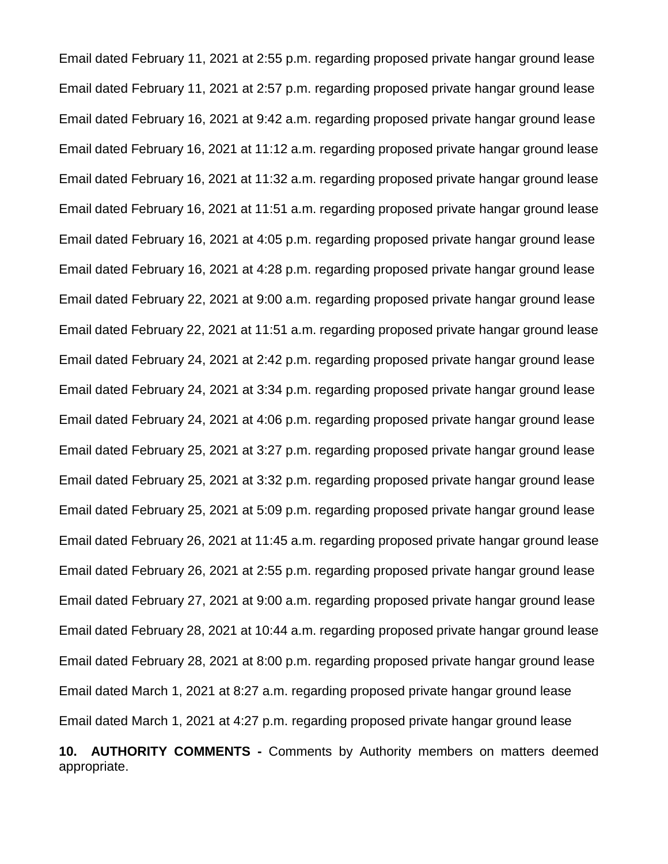Email dated February 11, 2021 at 2:55 p.m. regarding proposed private hangar ground lease Email dated February 11, 2021 at 2:57 p.m. regarding proposed private hangar ground lease Email dated February 16, 2021 at 9:42 a.m. regarding proposed private hangar ground lease Email dated February 16, 2021 at 11:12 a.m. regarding proposed private hangar ground lease Email dated February 16, 2021 at 11:32 a.m. regarding proposed private hangar ground lease Email dated February 16, 2021 at 11:51 a.m. regarding proposed private hangar ground lease Email dated February 16, 2021 at 4:05 p.m. regarding proposed private hangar ground lease Email dated February 16, 2021 at 4:28 p.m. regarding proposed private hangar ground lease Email dated February 22, 2021 at 9:00 a.m. regarding proposed private hangar ground lease Email dated February 22, 2021 at 11:51 a.m. regarding proposed private hangar ground lease Email dated February 24, 2021 at 2:42 p.m. regarding proposed private hangar ground lease Email dated February 24, 2021 at 3:34 p.m. regarding proposed private hangar ground lease Email dated February 24, 2021 at 4:06 p.m. regarding proposed private hangar ground lease Email dated February 25, 2021 at 3:27 p.m. regarding proposed private hangar ground lease Email dated February 25, 2021 at 3:32 p.m. regarding proposed private hangar ground lease Email dated February 25, 2021 at 5:09 p.m. regarding proposed private hangar ground lease Email dated February 26, 2021 at 11:45 a.m. regarding proposed private hangar ground lease Email dated February 26, 2021 at 2:55 p.m. regarding proposed private hangar ground lease Email dated February 27, 2021 at 9:00 a.m. regarding proposed private hangar ground lease Email dated February 28, 2021 at 10:44 a.m. regarding proposed private hangar ground lease Email dated February 28, 2021 at 8:00 p.m. regarding proposed private hangar ground lease Email dated March 1, 2021 at 8:27 a.m. regarding proposed private hangar ground lease Email dated March 1, 2021 at 4:27 p.m. regarding proposed private hangar ground lease **10. AUTHORITY COMMENTS -** Comments by Authority members on matters deemed appropriate.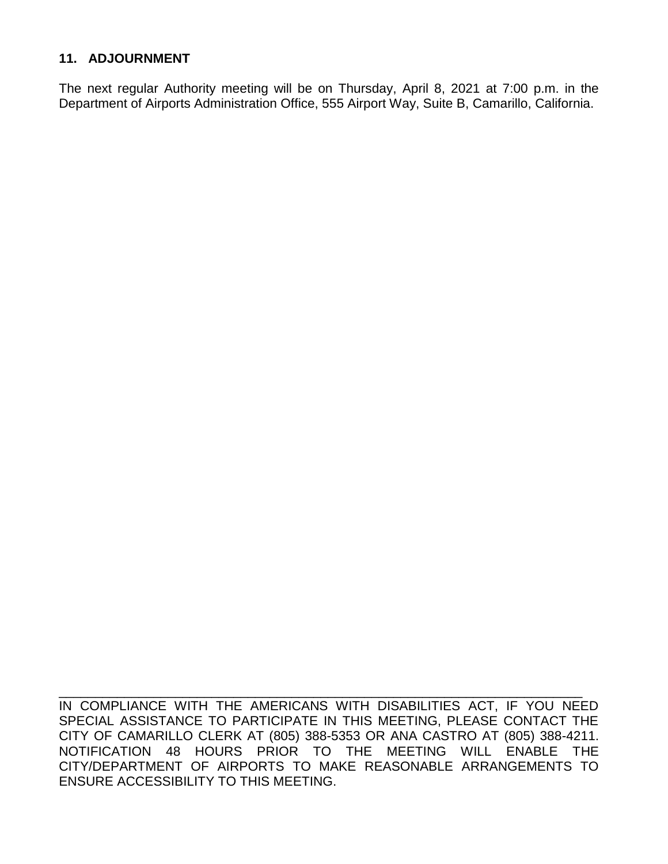# **11. ADJOURNMENT**

The next regular Authority meeting will be on Thursday, April 8, 2021 at 7:00 p.m. in the Department of Airports Administration Office, 555 Airport Way, Suite B, Camarillo, California.

IN COMPLIANCE WITH THE AMERICANS WITH DISABILITIES ACT, IF YOU NEED SPECIAL ASSISTANCE TO PARTICIPATE IN THIS MEETING, PLEASE CONTACT THE CITY OF CAMARILLO CLERK AT (805) 388-5353 OR ANA CASTRO AT (805) 388-4211. NOTIFICATION 48 HOURS PRIOR TO THE MEETING WILL ENABLE THE CITY/DEPARTMENT OF AIRPORTS TO MAKE REASONABLE ARRANGEMENTS TO ENSURE ACCESSIBILITY TO THIS MEETING.

\_\_\_\_\_\_\_\_\_\_\_\_\_\_\_\_\_\_\_\_\_\_\_\_\_\_\_\_\_\_\_\_\_\_\_\_\_\_\_\_\_\_\_\_\_\_\_\_\_\_\_\_\_\_\_\_\_\_\_\_\_\_\_\_\_\_\_\_\_\_\_\_